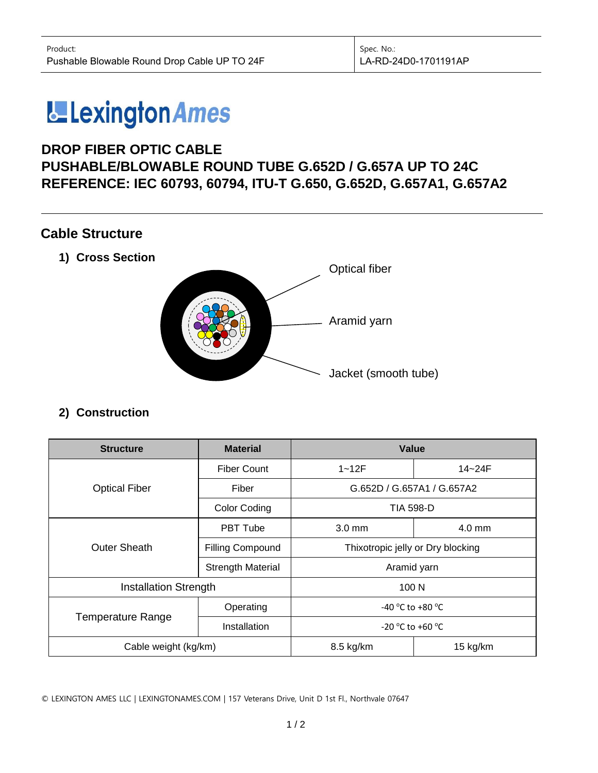# **L** Lexington Ames

## **DROP FIBER OPTIC CABLE PUSHABLE/BLOWABLE ROUND TUBE G.652D / G.657A UP TO 24C REFERENCE: IEC 60793, 60794, ITU-T G.650, G.652D, G.657A1, G.657A2**

## **Cable Structure**

Optical fiber Aramid yarn Jacket (smooth tube) **1) Cross Section** 

## **2) Construction**

| <b>Structure</b>             | <b>Material</b>          | Value                             |            |  |  |  |
|------------------------------|--------------------------|-----------------------------------|------------|--|--|--|
| <b>Optical Fiber</b>         | <b>Fiber Count</b>       | $1 - 12F$                         | $14 - 24F$ |  |  |  |
|                              | Fiber                    | G.652D / G.657A1 / G.657A2        |            |  |  |  |
|                              | <b>Color Coding</b>      | TIA 598-D                         |            |  |  |  |
| <b>Outer Sheath</b>          | <b>PBT Tube</b>          | $3.0 \text{ mm}$                  | $4.0$ mm   |  |  |  |
|                              | <b>Filling Compound</b>  | Thixotropic jelly or Dry blocking |            |  |  |  |
|                              | <b>Strength Material</b> | Aramid yarn                       |            |  |  |  |
| <b>Installation Strength</b> |                          | 100 N                             |            |  |  |  |
| <b>Temperature Range</b>     | Operating                | -40 °C to +80 °C                  |            |  |  |  |
|                              | Installation             | $-20$ °C to +60 °C                |            |  |  |  |
| Cable weight (kg/km)         |                          | 8.5 kg/km                         | 15 kg/km   |  |  |  |

© LEXINGTON AMES LLC | LEXINGTONAMES.COM | 157 Veterans Drive, Unit D 1st Fl., Northvale 07647